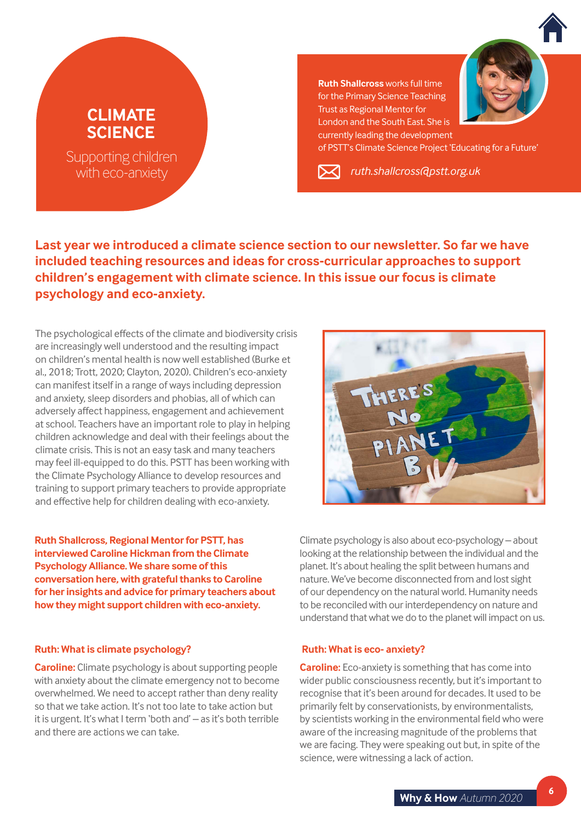

# **CLIMATE SCIENCE**

Supporting children with eco-anxiety

**Ruth Shallcross** works full time for the Primary Science Teaching Trust as Regional Mentor for London and the South East. She is currently leading the development

of PSTT's Climate Science Project 'Educating for a Future'

*ruth.shallcros[s@pstt.org.uk](mailto:ruth.shallcross%40pstt.org.uk?subject=PSTT%20Newsletter%20Article)*

**Last year we introduced a climate science section to our newsletter. So far we have included teaching resources and ideas for cross-curricular approaches to support children's engagement with climate science. In this issue our focus is climate psychology and eco-anxiety.** 

The psychological effects of the climate and biodiversity crisis are increasingly well understood and the resulting impact on children's mental health is now well established (Burke et al., 2018; Trott, 2020; Clayton, 2020). Children's eco-anxiety can manifest itself in a range of ways including depression and anxiety, sleep disorders and phobias, all of which can adversely affect happiness, engagement and achievement at school. Teachers have an important role to play in helping children acknowledge and deal with their feelings about the climate crisis. This is not an easy task and many teachers may feel ill-equipped to do this. PSTT has been working with the Climate Psychology Alliance to develop resources and training to support primary teachers to provide appropriate and effective help for children dealing with eco-anxiety.

**Ruth Shallcross, Regional Mentor for PSTT, has interviewed Caroline Hickman from the Climate Psychology Alliance. We share some of this conversation here, with grateful thanks to Caroline for her insights and advice for primary teachers about how they might support children with eco-anxiety.** 

# **Ruth: What is climate psychology?**

**Caroline:** Climate psychology is about supporting people with anxiety about the climate emergency not to become overwhelmed. We need to accept rather than deny reality so that we take action. It's not too late to take action but it is urgent. It's what I term 'both and' – as it's both terrible and there are actions we can take.



Climate psychology is also about eco-psychology – about looking at the relationship between the individual and the planet. It's about healing the split between humans and nature. We've become disconnected from and lost sight of our dependency on the natural world. Humanity needs to be reconciled with our interdependency on nature and understand that what we do to the planet will impact on us.

# **Ruth: What is eco- anxiety?**

**Caroline:** Eco-anxiety is something that has come into wider public consciousness recently, but it's important to recognise that it's been around for decades. It used to be primarily felt by conservationists, by environmentalists, by scientists working in the environmental field who were aware of the increasing magnitude of the problems that we are facing. They were speaking out but, in spite of the science, were witnessing a lack of action.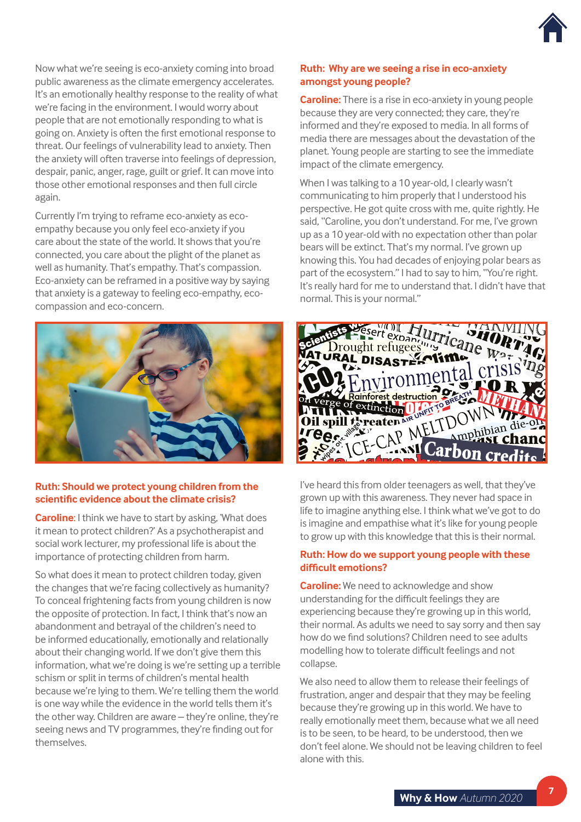

Now what we're seeing is eco-anxiety coming into broad public awareness as the climate emergency accelerates. It's an emotionally healthy response to the reality of what we're facing in the environment. I would worry about people that are not emotionally responding to what is going on. Anxiety is often the first emotional response to threat. Our feelings of vulnerability lead to anxiety. Then the anxiety will often traverse into feelings of depression, despair, panic, anger, rage, guilt or grief. It can move into those other emotional responses and then full circle again.

Currently I'm trying to reframe eco-anxiety as ecoempathy because you only feel eco-anxiety if you care about the state of the world. It shows that you're connected, you care about the plight of the planet as well as humanity. That's empathy. That's compassion. Eco-anxiety can be reframed in a positive way by saying that anxiety is a gateway to feeling eco-empathy, ecocompassion and eco-concern.



# **Ruth: Should we protect young children from the scientific evidence about the climate crisis?**

**Caroline**: I think we have to start by asking, 'What does it mean to protect children?' As a psychotherapist and social work lecturer, my professional life is about the importance of protecting children from harm.

So what does it mean to protect children today, given the changes that we're facing collectively as humanity? To conceal frightening facts from young children is now the opposite of protection. In fact, I think that's now an abandonment and betrayal of the children's need to be informed educationally, emotionally and relationally about their changing world. If we don't give them this information, what we're doing is we're setting up a terrible schism or split in terms of children's mental health because we're lying to them. We're telling them the world is one way while the evidence in the world tells them it's the other way. Children are aware – they're online, they're seeing news and TV programmes, they're finding out for themselves.

# **Ruth: Why are we seeing a rise in eco-anxiety amongst young people?**

**Caroline:** There is a rise in eco-anxiety in young people because they are very connected; they care, they're informed and they're exposed to media. In all forms of media there are messages about the devastation of the planet. Young people are starting to see the immediate impact of the climate emergency.

When I was talking to a 10 year-old, I clearly wasn't communicating to him properly that I understood his perspective. He got quite cross with me, quite rightly. He said, "Caroline, you don't understand. For me, I've grown up as a 10 year-old with no expectation other than polar bears will be extinct. That's my normal. I've grown up knowing this. You had decades of enjoying polar bears as part of the ecosystem." I had to say to him, "You're right. It's really hard for me to understand that. I didn't have that normal. This is your normal."



I've heard this from older teenagers as well, that they've grown up with this awareness. They never had space in life to imagine anything else. I think what we've got to do is imagine and empathise what it's like for young people to grow up with this knowledge that this is their normal.

# **Ruth: How do we support young people with these difficult emotions?**

**Caroline:** We need to acknowledge and show understanding for the difficult feelings they are experiencing because they're growing up in this world, their normal. As adults we need to say sorry and then say how do we find solutions? Children need to see adults modelling how to tolerate difficult feelings and not collapse.

We also need to allow them to release their feelings of frustration, anger and despair that they may be feeling because they're growing up in this world. We have to really emotionally meet them, because what we all need is to be seen, to be heard, to be understood, then we don't feel alone. We should not be leaving children to feel alone with this.